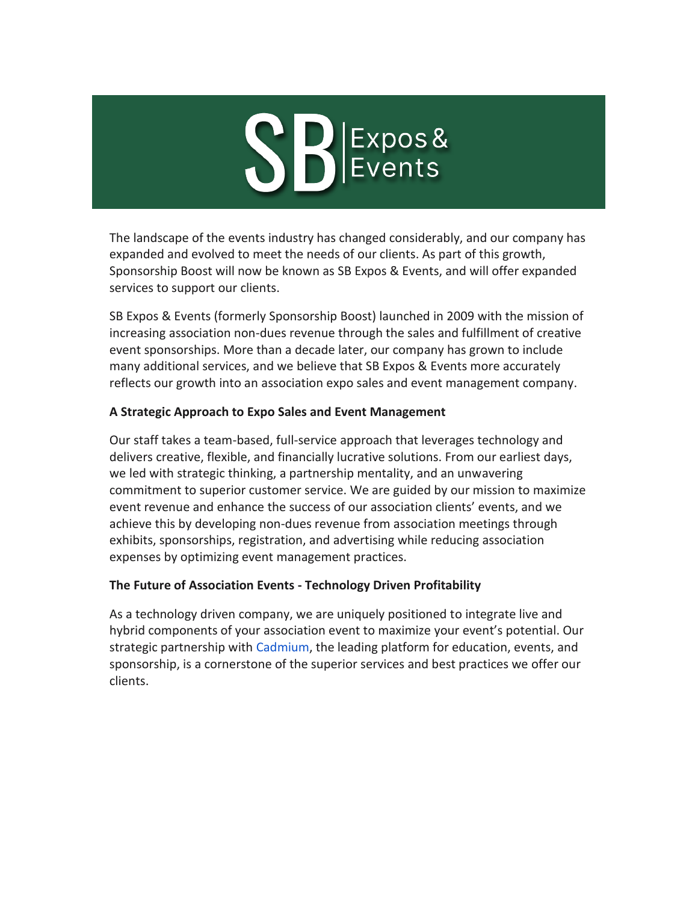# SBEXPOS&

The landscape of the events industry has changed considerably, and our company has expanded and evolved to meet the needs of our clients. As part of this growth, Sponsorship Boost will now be known as SB Expos & Events, and will offer expanded services to support our clients.

SB Expos & Events (formerly Sponsorship Boost) launched in 2009 with the mission of increasing association non-dues revenue through the sales and fulfillment of creative event sponsorships. More than a decade later, our company has grown to include many additional services, and we believe that SB Expos & Events more accurately reflects our growth into an association expo sales and event management company.

# **A Strategic Approach to Expo Sales and Event Management**

Our staff takes a team-based, full-service approach that leverages technology and delivers creative, flexible, and financially lucrative solutions. From our earliest days, we led with strategic thinking, a partnership mentality, and an unwavering commitment to superior customer service. We are guided by our mission to maximize event revenue and enhance the success of our association clients' events, and we achieve this by developing non-dues revenue from association meetings through exhibits, sponsorships, registration, and advertising while reducing association expenses by optimizing event management practices.

## **The Future of Association Events - Technology Driven Profitability**

As a technology driven company, we are uniquely positioned to integrate live and hybrid components of your association event to maximize your event's potential. Our strategic partnership with [Cadmium,](https://r20.rs6.net/tn.jsp?f=001cSEsfKfBqT2_4G0QrdEwKIFeWdcsqg9rGZrZtgPZ80kO_T9_hQBQbpPDZok0UV2xpGln_Se9qWl3BtneB9YM2fFgOPzN4JDWS5n5byZNJZRb56xiwSUWd3Y8uukJbvrWEH4s6tmx5Xgk0bywIaZoRQp9_wscOt6Y8EkRkmYQ7b4=&c=EoMvQmAuW87qeOvlnXFcrzCpRwcrqfm8Pdq8P7oJgxifY5eqCcPf2g==&ch=HaVQ_GGToEZlgJs1wD7R7KvDJgZYLHO_J1QlhmEz-Xv3VYvPQ9lU1g==) the leading platform for education, events, and sponsorship, is a cornerstone of the superior services and best practices we offer our clients.